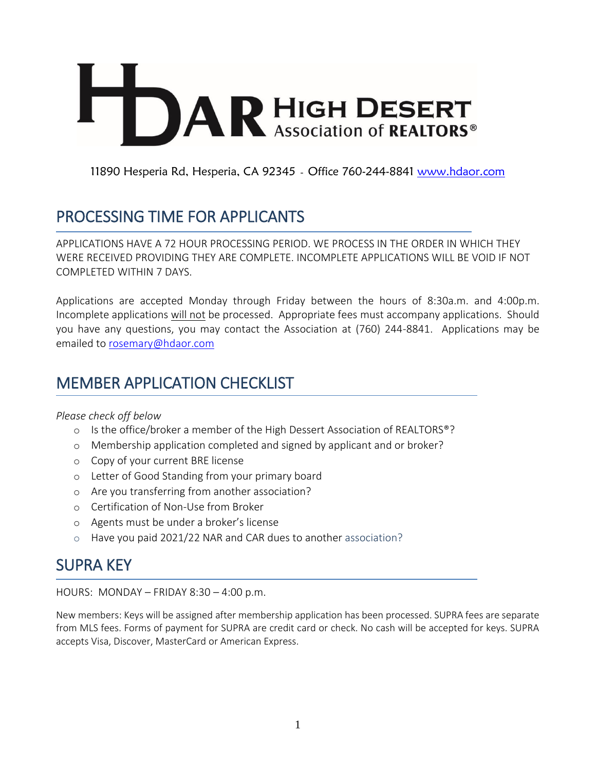# **DAR HIGH DESERT**

11890 Hesperia Rd, Hesperia, CA 92345 - Office 760-244-8841 [www.hdaor.com](http://www.hdaor.com/)

# PROCESSING TIME FOR APPLICANTS

APPLICATIONS HAVE A 72 HOUR PROCESSING PERIOD. WE PROCESS IN THE ORDER IN WHICH THEY WERE RECEIVED PROVIDING THEY ARE COMPLETE. INCOMPLETE APPLICATIONS WILL BE VOID IF NOT COMPLETED WITHIN 7 DAYS.

Applications are accepted Monday through Friday between the hours of 8:30a.m. and 4:00p.m. Incomplete applications will not be processed. Appropriate fees must accompany applications. Should you have any questions, you may contact the Association at (760) 244-8841. Applications may be emailed to [rosemary@hdaor.com](mailto:rosemary@hdaor.com)

# MEMBER APPLICATION CHECKLIST

## *Please check off below*

- o Is the office/broker a member of the High Dessert Association of REALTORS®?
- o Membership application completed and signed by applicant and or broker?
- o Copy of your current BRE license
- o Letter of Good Standing from your primary board
- o Are you transferring from another association?
- o Certification of Non-Use from Broker
- o Agents must be under a broker's license
- o Have you paid 2021/22 NAR and CAR dues to another association?

## SUPRA KEY

HOURS: MONDAY – FRIDAY 8:30 – 4:00 p.m.

New members: Keys will be assigned after membership application has been processed. SUPRA fees are separate from MLS fees. Forms of payment for SUPRA are credit card or check. No cash will be accepted for keys. SUPRA accepts Visa, Discover, MasterCard or American Express.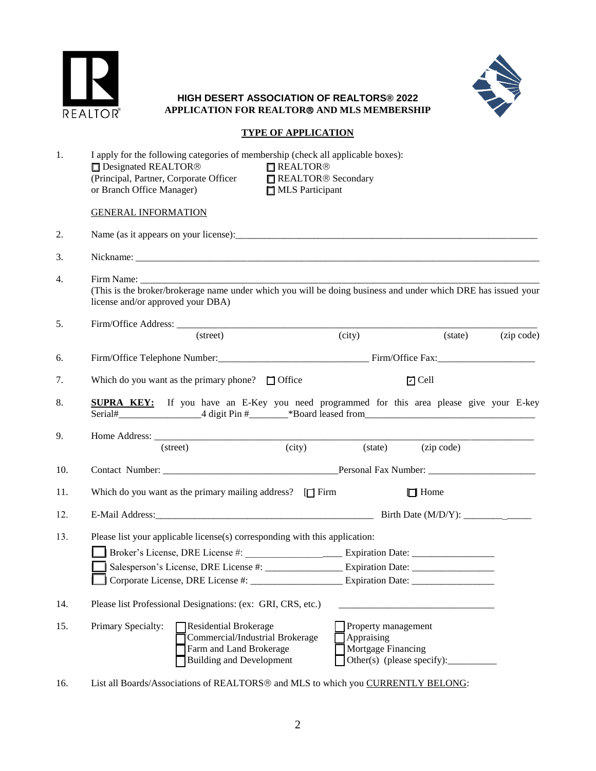



## **HIGH DESERT ASSOCIATION OF REALTORS® 2022 APPLICATION FOR REALTOR AND MLS MEMBERSHIP**

## **TYPE OF APPLICATION**

| 1.  | I apply for the following categories of membership (check all applicable boxes):<br>Designated REALTOR®<br><b>REALTOR®</b><br>(Principal, Partner, Corporate Officer ■ REALTOR <sup>®</sup> Secondary<br>or Branch Office Manager)<br>MLS Participant |                                                                                                                               |        |                                                         |                            |                                |  |  |  |  |  |
|-----|-------------------------------------------------------------------------------------------------------------------------------------------------------------------------------------------------------------------------------------------------------|-------------------------------------------------------------------------------------------------------------------------------|--------|---------------------------------------------------------|----------------------------|--------------------------------|--|--|--|--|--|
|     | <b>GENERAL INFORMATION</b>                                                                                                                                                                                                                            |                                                                                                                               |        |                                                         |                            |                                |  |  |  |  |  |
| 2.  |                                                                                                                                                                                                                                                       |                                                                                                                               |        |                                                         |                            |                                |  |  |  |  |  |
| 3.  |                                                                                                                                                                                                                                                       |                                                                                                                               |        |                                                         |                            |                                |  |  |  |  |  |
| 4.  | (This is the broker/brokerage name under which you will be doing business and under which DRE has issued your<br>license and/or approved your DBA)                                                                                                    |                                                                                                                               |        |                                                         |                            |                                |  |  |  |  |  |
| 5.  |                                                                                                                                                                                                                                                       | (street)                                                                                                                      |        | (city)                                                  |                            | $(\text{state})$<br>(zip code) |  |  |  |  |  |
| 6.  |                                                                                                                                                                                                                                                       |                                                                                                                               |        |                                                         |                            |                                |  |  |  |  |  |
| 7.  | Which do you want as the primary phone? $\Box$ Office                                                                                                                                                                                                 |                                                                                                                               |        |                                                         | $\Box$ Cell                |                                |  |  |  |  |  |
| 8.  | <b>SUPRA KEY:</b> If you have an E-Key you need programmed for this area please give your E-key                                                                                                                                                       |                                                                                                                               |        |                                                         |                            |                                |  |  |  |  |  |
| 9.  | (street)                                                                                                                                                                                                                                              |                                                                                                                               | (city) |                                                         | (state) (zip code)         |                                |  |  |  |  |  |
| 10. |                                                                                                                                                                                                                                                       |                                                                                                                               |        |                                                         |                            |                                |  |  |  |  |  |
| 11. | Which do you want as the primary mailing address? $\Box$ Firm                                                                                                                                                                                         |                                                                                                                               |        |                                                         | $\Box$ Home                |                                |  |  |  |  |  |
| 12. |                                                                                                                                                                                                                                                       |                                                                                                                               |        |                                                         |                            |                                |  |  |  |  |  |
| 13. | Please list your applicable license(s) corresponding with this application:                                                                                                                                                                           |                                                                                                                               |        |                                                         |                            |                                |  |  |  |  |  |
| 14. | Please list Professional Designations: (ex: GRI, CRS, etc.)                                                                                                                                                                                           |                                                                                                                               |        |                                                         |                            |                                |  |  |  |  |  |
| 15. | Primary Specialty:                                                                                                                                                                                                                                    | <b>Residential Brokerage</b><br>Commercial/Industrial Brokerage<br>Farm and Land Brokerage<br><b>Building and Development</b> |        | Property management<br>Appraising<br>Mortgage Financing | Other(s) (please specify): |                                |  |  |  |  |  |

16. List all Boards/Associations of REALTORS<sup>®</sup> and MLS to which you **CURRENTLY BELONG**: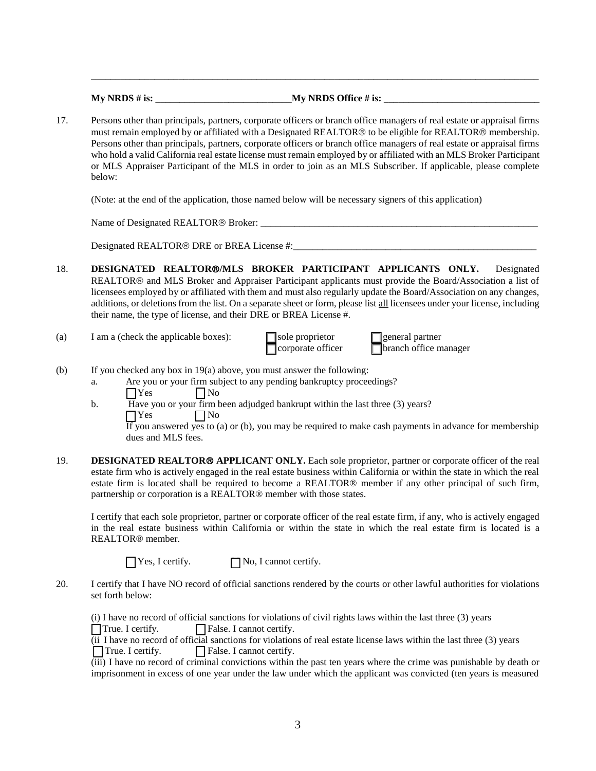| $Mv$ NRDS # is: | My NRDS Office # is: |  |
|-----------------|----------------------|--|
|                 |                      |  |

17. Persons other than principals, partners, corporate officers or branch office managers of real estate or appraisal firms must remain employed by or affiliated with a Designated REALTOR® to be eligible for REALTOR® membership. Persons other than principals, partners, corporate officers or branch office managers of real estate or appraisal firms who hold a valid California real estate license must remain employed by or affiliated with an MLS Broker Participant or MLS Appraiser Participant of the MLS in order to join as an MLS Subscriber. If applicable, please complete below:

\_\_\_\_\_\_\_\_\_\_\_\_\_\_\_\_\_\_\_\_\_\_\_\_\_\_\_\_\_\_\_\_\_\_\_\_\_\_\_\_\_\_\_\_\_\_\_\_\_\_\_\_\_\_\_\_\_\_\_\_\_\_\_\_\_\_\_\_\_\_\_\_\_\_\_\_\_\_\_\_\_\_\_\_\_\_\_\_\_\_\_\_

(Note: at the end of the application, those named below will be necessary signers of this application)

Name of Designated REALTOR<sup>®</sup> Broker:

Designated REALTOR DRE or BREA License #:\_\_\_\_\_\_\_\_\_\_\_\_\_\_\_\_\_\_\_\_\_\_\_\_\_\_\_\_\_\_\_\_\_\_\_\_\_\_\_\_\_\_\_\_\_\_\_\_\_\_

- 18. **DESIGNATED REALTOR/MLS BROKER PARTICIPANT APPLICANTS ONLY.** Designated REALTOR<sup>®</sup> and MLS Broker and Appraiser Participant applicants must provide the Board/Association a list of licensees employed by or affiliated with them and must also regularly update the Board/Association on any changes, additions, or deletions from the list. On a separate sheet or form, please list all licensees under your license, including their name, the type of license, and their DRE or BREA License #.
- (a) I am a (check the applicable boxes):  $\Box$  sole proprietor  $\Box$  general partner

 $\Box$  corporate officer  $\Box$  branch office manager

- (b) If you checked any box in 19(a) above, you must answer the following:
	- a. Are you or your firm subject to any pending bankruptcy proceedings?
		- $\bigcap$  Yes  $\bigcap$  No
		- b. Have you or your firm been adjudged bankrupt within the last three (3) years?  $\bigcap$  Yes  $\bigcap$  No

If you answered yes to (a) or (b), you may be required to make cash payments in advance for membership dues and MLS fees.

19. **DESIGNATED REALTOR® APPLICANT ONLY.** Each sole proprietor, partner or corporate officer of the real estate firm who is actively engaged in the real estate business within California or within the state in which the real estate firm is located shall be required to become a REALTOR® member if any other principal of such firm, partnership or corporation is a REALTOR® member with those states.

I certify that each sole proprietor, partner or corporate officer of the real estate firm, if any, who is actively engaged in the real estate business within California or within the state in which the real estate firm is located is a REALTOR® member.

 $\Box$  Yes, I certify.  $\Box$  No, I cannot certify.

20. I certify that I have NO record of official sanctions rendered by the courts or other lawful authorities for violations set forth below:

(i) I have no record of official sanctions for violations of civil rights laws within the last three (3) years  $\Box$  True. I certify.  $\Box$  False. I cannot certify.

(ii I have no record of official sanctions for violations of real estate license laws within the last three (3) years  $\Box$  True. I certify.  $\Box$  False. I cannot certify.

(iii) I have no record of criminal convictions within the past ten years where the crime was punishable by death or imprisonment in excess of one year under the law under which the applicant was convicted (ten years is measured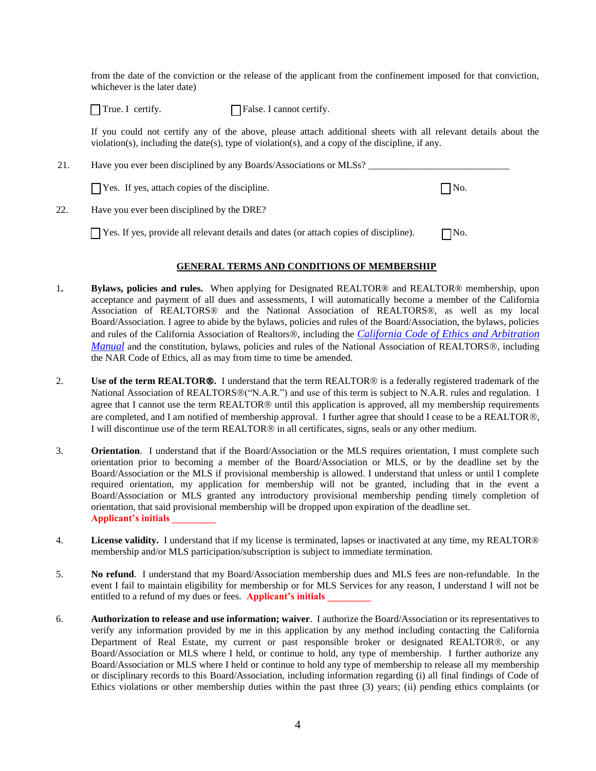from the date of the conviction or the release of the applicant from the confinement imposed for that conviction, whichever is the later date)

 $\Box$  True. I certify.  $\Box$  False. I cannot certify.

If you could not certify any of the above, please attach additional sheets with all relevant details about the violation(s), including the date(s), type of violation(s), and a copy of the discipline, if any.

| 21. | Have you ever been disciplined by any Boards/Associations or MLSs?                           |                    |  |  |  |  |  |  |  |
|-----|----------------------------------------------------------------------------------------------|--------------------|--|--|--|--|--|--|--|
|     | $\Box$ Yes. If yes, attach copies of the discipline.                                         | $\blacksquare$ No. |  |  |  |  |  |  |  |
| 22. | Have you ever been disciplined by the DRE?                                                   |                    |  |  |  |  |  |  |  |
|     | $\Box$ Yes. If yes, provide all relevant details and dates (or attach copies of discipline). | $\neg$ No.         |  |  |  |  |  |  |  |

## **GENERAL TERMS AND CONDITIONS OF MEMBERSHIP**

- 1**. Bylaws, policies and rules.** When applying for Designated REALTOR® and REALTOR® membership, upon acceptance and payment of all dues and assessments, I will automatically become a member of the California Association of REALTORS® and the National Association of REALTORS®, as well as my local Board/Association. I agree to abide by the bylaws, policies and rules of the Board/Association, the bylaws, policies and rules of the California Association of Realtors®, including the *California Code of Ethics and Arbitration [Manual](https://car.sharefile.com/share/view/sf6be9f7b122f4423a1bc4061cc44773d)* and the constitution, bylaws, policies and rules of the National Association of REALTORS®, including the NAR Code of Ethics, all as may from time to time be amended.
- 2. **Use of the term REALTOR®.** I understand that the term REALTOR® is a federally registered trademark of the National Association of REALTORS®("N.A.R.") and use of this term is subject to N.A.R. rules and regulation. I agree that I cannot use the term REALTOR<sup>®</sup> until this application is approved, all my membership requirements are completed, and I am notified of membership approval. I further agree that should I cease to be a REALTOR®, I will discontinue use of the term REALTOR® in all certificates, signs, seals or any other medium.
- 3. **Orientation**. I understand that if the Board/Association or the MLS requires orientation, I must complete such orientation prior to becoming a member of the Board/Association or MLS, or by the deadline set by the Board/Association or the MLS if provisional membership is allowed. I understand that unless or until I complete required orientation, my application for membership will not be granted, including that in the event a Board/Association or MLS granted any introductory provisional membership pending timely completion of orientation, that said provisional membership will be dropped upon expiration of the deadline set. **Applicant's initials \_\_\_\_\_\_\_\_\_**
- 4. **License validity.** I understand that if my license is terminated, lapses or inactivated at any time, my REALTOR® membership and/or MLS participation/subscription is subject to immediate termination.
- 5. **No refund**. I understand that my Board/Association membership dues and MLS fees are non-refundable. In the event I fail to maintain eligibility for membership or for MLS Services for any reason, I understand I will not be entitled to a refund of my dues or fees. **Applicant's initials**
- 6. **Authorization to release and use information; waiver**. I authorize the Board/Association or its representatives to verify any information provided by me in this application by any method including contacting the California Department of Real Estate, my current or past responsible broker or designated REALTOR®, or any Board/Association or MLS where I held, or continue to hold, any type of membership. I further authorize any Board/Association or MLS where I held or continue to hold any type of membership to release all my membership or disciplinary records to this Board/Association, including information regarding (i) all final findings of Code of Ethics violations or other membership duties within the past three (3) years; (ii) pending ethics complaints (or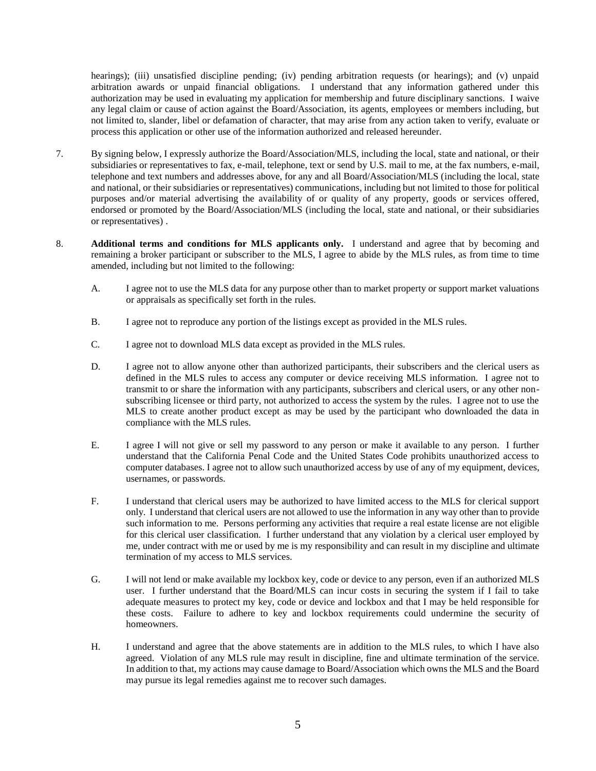hearings); (iii) unsatisfied discipline pending; (iv) pending arbitration requests (or hearings); and (v) unpaid arbitration awards or unpaid financial obligations. I understand that any information gathered under this authorization may be used in evaluating my application for membership and future disciplinary sanctions. I waive any legal claim or cause of action against the Board/Association, its agents, employees or members including, but not limited to, slander, libel or defamation of character, that may arise from any action taken to verify, evaluate or process this application or other use of the information authorized and released hereunder.

- 7. By signing below, I expressly authorize the Board/Association/MLS, including the local, state and national, or their subsidiaries or representatives to fax, e-mail, telephone, text or send by U.S. mail to me, at the fax numbers, e-mail, telephone and text numbers and addresses above, for any and all Board/Association/MLS (including the local, state and national, or their subsidiaries or representatives) communications, including but not limited to those for political purposes and/or material advertising the availability of or quality of any property, goods or services offered, endorsed or promoted by the Board/Association/MLS (including the local, state and national, or their subsidiaries or representatives) .
- 8. **Additional terms and conditions for MLS applicants only.** I understand and agree that by becoming and remaining a broker participant or subscriber to the MLS, I agree to abide by the MLS rules, as from time to time amended, including but not limited to the following:
	- A. I agree not to use the MLS data for any purpose other than to market property or support market valuations or appraisals as specifically set forth in the rules.
	- B. I agree not to reproduce any portion of the listings except as provided in the MLS rules.
	- C. I agree not to download MLS data except as provided in the MLS rules.
	- D. I agree not to allow anyone other than authorized participants, their subscribers and the clerical users as defined in the MLS rules to access any computer or device receiving MLS information. I agree not to transmit to or share the information with any participants, subscribers and clerical users, or any other nonsubscribing licensee or third party, not authorized to access the system by the rules. I agree not to use the MLS to create another product except as may be used by the participant who downloaded the data in compliance with the MLS rules.
	- E. I agree I will not give or sell my password to any person or make it available to any person. I further understand that the California Penal Code and the United States Code prohibits unauthorized access to computer databases. I agree not to allow such unauthorized access by use of any of my equipment, devices, usernames, or passwords.
	- F. I understand that clerical users may be authorized to have limited access to the MLS for clerical support only. I understand that clerical users are not allowed to use the information in any way other than to provide such information to me. Persons performing any activities that require a real estate license are not eligible for this clerical user classification. I further understand that any violation by a clerical user employed by me, under contract with me or used by me is my responsibility and can result in my discipline and ultimate termination of my access to MLS services.
	- G. I will not lend or make available my lockbox key, code or device to any person, even if an authorized MLS user. I further understand that the Board/MLS can incur costs in securing the system if I fail to take adequate measures to protect my key, code or device and lockbox and that I may be held responsible for these costs. Failure to adhere to key and lockbox requirements could undermine the security of homeowners.
	- H. I understand and agree that the above statements are in addition to the MLS rules, to which I have also agreed. Violation of any MLS rule may result in discipline, fine and ultimate termination of the service. In addition to that, my actions may cause damage to Board/Association which owns the MLS and the Board may pursue its legal remedies against me to recover such damages.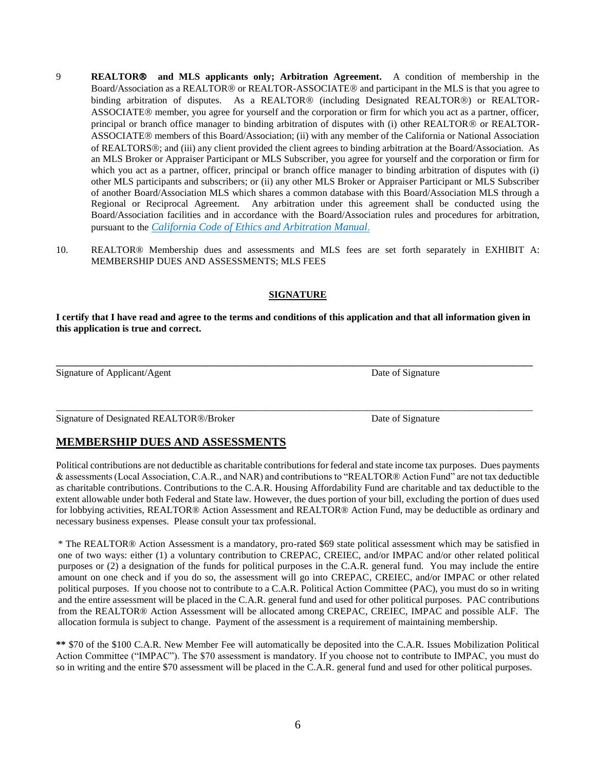- 9 **REALTOR and MLS applicants only; Arbitration Agreement.** A condition of membership in the Board/Association as a REALTOR<sup>®</sup> or REALTOR-ASSOCIATE<sup>®</sup> and participant in the MLS is that you agree to binding arbitration of disputes. As a REALTOR<sup>®</sup> (including Designated REALTOR<sup>®</sup>) or REALTOR-ASSOCIATE® member, you agree for yourself and the corporation or firm for which you act as a partner, officer, principal or branch office manager to binding arbitration of disputes with (i) other REALTOR® or REALTOR-ASSOCIATE® members of this Board/Association; (ii) with any member of the California or National Association of REALTORS®; and (iii) any client provided the client agrees to binding arbitration at the Board/Association. As an MLS Broker or Appraiser Participant or MLS Subscriber, you agree for yourself and the corporation or firm for which you act as a partner, officer, principal or branch office manager to binding arbitration of disputes with (i) other MLS participants and subscribers; or (ii) any other MLS Broker or Appraiser Participant or MLS Subscriber of another Board/Association MLS which shares a common database with this Board/Association MLS through a Regional or Reciprocal Agreement. Any arbitration under this agreement shall be conducted using the Board/Association facilities and in accordance with the Board/Association rules and procedures for arbitration, pursuant to the *California Code of Ethics and Arbitration Manual*.
- 10. REALTOR® Membership dues and assessments and MLS fees are set forth separately in EXHIBIT A: MEMBERSHIP DUES AND ASSESSMENTS; MLS FEES

## **SIGNATURE**

**I certify that I have read and agree to the terms and conditions of this application and that all information given in this application is true and correct.**

**\_\_\_\_\_\_\_\_\_\_\_\_\_\_\_\_\_\_\_\_\_\_\_\_\_\_\_\_\_\_\_\_\_\_\_\_\_\_\_\_\_\_\_\_\_\_\_\_\_\_\_\_\_\_\_\_\_\_\_\_\_\_\_\_\_\_\_\_\_\_\_\_\_\_\_\_\_\_\_\_\_\_\_\_\_\_\_\_\_\_\_\_\_\_\_\_\_\_**

\_\_\_\_\_\_\_\_\_\_\_\_\_\_\_\_\_\_\_\_\_\_\_\_\_\_\_\_\_\_\_\_\_\_\_\_\_\_\_\_\_\_\_\_\_\_\_\_\_\_\_\_\_\_\_\_\_\_\_\_\_\_\_\_\_\_\_\_\_\_\_\_\_\_\_\_\_\_\_\_\_\_\_\_\_\_\_\_\_\_\_\_\_\_\_\_\_\_

Signature of Applicant/Agent Date of Signature Date of Signature

Signature of Designated REALTOR®/Broker Date of Signature Date of Signature

## **MEMBERSHIP DUES AND ASSESSMENTS**

Political contributions are not deductible as charitable contributions for federal and state income tax purposes. Dues payments & assessments (Local Association, C.A.R., and NAR) and contributions to "REALTOR® Action Fund" are not tax deductible as charitable contributions. Contributions to the C.A.R. Housing Affordability Fund are charitable and tax deductible to the extent allowable under both Federal and State law. However, the dues portion of your bill, excluding the portion of dues used for lobbying activities, REALTOR® Action Assessment and REALTOR® Action Fund, may be deductible as ordinary and necessary business expenses. Please consult your tax professional.

\* The REALTOR® Action Assessment is a mandatory, pro-rated \$69 state political assessment which may be satisfied in one of two ways: either (1) a voluntary contribution to CREPAC, CREIEC, and/or IMPAC and/or other related political purposes or (2) a designation of the funds for political purposes in the C.A.R. general fund. You may include the entire amount on one check and if you do so, the assessment will go into CREPAC, CREIEC, and/or IMPAC or other related political purposes. If you choose not to contribute to a C.A.R. Political Action Committee (PAC), you must do so in writing and the entire assessment will be placed in the C.A.R. general fund and used for other political purposes. PAC contributions from the REALTOR® Action Assessment will be allocated among CREPAC, CREIEC, IMPAC and possible ALF. The allocation formula is subject to change. Payment of the assessment is a requirement of maintaining membership.

**\*\*** \$70 of the \$100 C.A.R. New Member Fee will automatically be deposited into the C.A.R. Issues Mobilization Political Action Committee ("IMPAC"). The \$70 assessment is mandatory. If you choose not to contribute to IMPAC, you must do so in writing and the entire \$70 assessment will be placed in the C.A.R. general fund and used for other political purposes.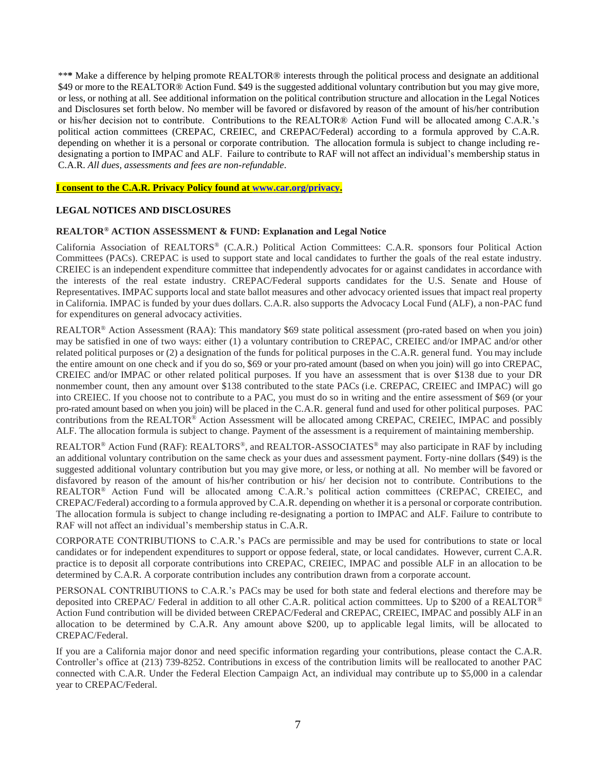\*\***\*** Make a difference by helping promote REALTOR® interests through the political process and designate an additional \$49 or more to the REALTOR® Action Fund. \$49 is the suggested additional voluntary contribution but you may give more, or less, or nothing at all. See additional information on the political contribution structure and allocation in the Legal Notices and Disclosures set forth below. No member will be favored or disfavored by reason of the amount of his/her contribution or his/her decision not to contribute. Contributions to the REALTOR® Action Fund will be allocated among C.A.R.'s political action committees (CREPAC, CREIEC, and CREPAC/Federal) according to a formula approved by C.A.R. depending on whether it is a personal or corporate contribution. The allocation formula is subject to change including redesignating a portion to IMPAC and ALF. Failure to contribute to RAF will not affect an individual's membership status in C.A.R. *All dues, assessments and fees are non-refundable*.

**I consent to the C.A.R. Privacy Policy found at [www.car.org/privacy.](http://www.car.org/privacy)**

## **LEGAL NOTICES AND DISCLOSURES**

## **REALTOR® ACTION ASSESSMENT & FUND: Explanation and Legal Notice**

California Association of REALTORS® (C.A.R.) Political Action Committees: C.A.R. sponsors four Political Action Committees (PACs). CREPAC is used to support state and local candidates to further the goals of the real estate industry. CREIEC is an independent expenditure committee that independently advocates for or against candidates in accordance with the interests of the real estate industry. CREPAC/Federal supports candidates for the U.S. Senate and House of Representatives. IMPAC supports local and state ballot measures and other advocacy oriented issues that impact real property in California. IMPAC is funded by your dues dollars. C.A.R. also supports the Advocacy Local Fund (ALF), a non-PAC fund for expenditures on general advocacy activities.

REALTOR® Action Assessment (RAA): This mandatory \$69 state political assessment (pro-rated based on when you join) may be satisfied in one of two ways: either (1) a voluntary contribution to CREPAC, CREIEC and/or IMPAC and/or other related political purposes or (2) a designation of the funds for political purposes in the C.A.R. general fund. You may include the entire amount on one check and if you do so, \$69 or your pro-rated amount (based on when you join) will go into CREPAC, CREIEC and/or IMPAC or other related political purposes. If you have an assessment that is over \$138 due to your DR nonmember count, then any amount over \$138 contributed to the state PACs (i.e. CREPAC, CREIEC and IMPAC) will go into CREIEC. If you choose not to contribute to a PAC, you must do so in writing and the entire assessment of \$69 (or your pro-rated amount based on when you join) will be placed in the C.A.R. general fund and used for other political purposes. PAC contributions from the REALTOR® Action Assessment will be allocated among CREPAC, CREIEC, IMPAC and possibly ALF. The allocation formula is subject to change. Payment of the assessment is a requirement of maintaining membership.

REALTOR® Action Fund (RAF): REALTORS®, and REALTOR-ASSOCIATES® may also participate in RAF by including an additional voluntary contribution on the same check as your dues and assessment payment. Forty-nine dollars (\$49) is the suggested additional voluntary contribution but you may give more, or less, or nothing at all. No member will be favored or disfavored by reason of the amount of his/her contribution or his/ her decision not to contribute. Contributions to the REALTOR® Action Fund will be allocated among C.A.R.'s political action committees (CREPAC, CREIEC, and CREPAC/Federal) according to a formula approved by C.A.R. depending on whether it is a personal or corporate contribution. The allocation formula is subject to change including re-designating a portion to IMPAC and ALF. Failure to contribute to RAF will not affect an individual's membership status in C.A.R.

CORPORATE CONTRIBUTIONS to C.A.R.'s PACs are permissible and may be used for contributions to state or local candidates or for independent expenditures to support or oppose federal, state, or local candidates. However, current C.A.R. practice is to deposit all corporate contributions into CREPAC, CREIEC, IMPAC and possible ALF in an allocation to be determined by C.A.R. A corporate contribution includes any contribution drawn from a corporate account.

PERSONAL CONTRIBUTIONS to C.A.R.'s PACs may be used for both state and federal elections and therefore may be deposited into CREPAC/ Federal in addition to all other C.A.R. political action committees. Up to \$200 of a REALTOR® Action Fund contribution will be divided between CREPAC/Federal and CREPAC, CREIEC, IMPAC and possibly ALF in an allocation to be determined by C.A.R. Any amount above \$200, up to applicable legal limits, will be allocated to CREPAC/Federal.

If you are a California major donor and need specific information regarding your contributions, please contact the C.A.R. Controller's office at (213) 739-8252. Contributions in excess of the contribution limits will be reallocated to another PAC connected with C.A.R. Under the Federal Election Campaign Act, an individual may contribute up to \$5,000 in a calendar year to CREPAC/Federal.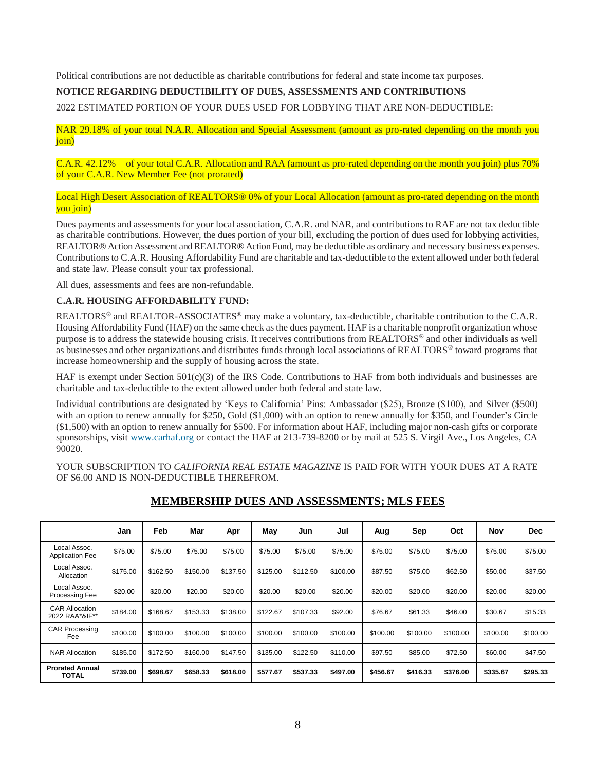Political contributions are not deductible as charitable contributions for federal and state income tax purposes.

## **NOTICE REGARDING DEDUCTIBILITY OF DUES, ASSESSMENTS AND CONTRIBUTIONS**

2022 ESTIMATED PORTION OF YOUR DUES USED FOR LOBBYING THAT ARE NON-DEDUCTIBLE:

NAR 29.18% of your total N.A.R. Allocation and Special Assessment (amount as pro-rated depending on the month you join)

C.A.R. 42.12% of your total C.A.R. Allocation and RAA (amount as pro-rated depending on the month you join) plus 70% of your C.A.R. New Member Fee (not prorated)

Local High Desert Association of REALTORS® 0% of your Local Allocation (amount as pro-rated depending on the month you join)

Dues payments and assessments for your local association, C.A.R. and NAR, and contributions to RAF are not tax deductible as charitable contributions. However, the dues portion of your bill, excluding the portion of dues used for lobbying activities, REALTOR® Action Assessment and REALTOR® Action Fund, may be deductible as ordinary and necessary business expenses. Contributions to C.A.R. Housing Affordability Fund are charitable and tax-deductible to the extent allowed under both federal and state law. Please consult your tax professional.

All dues, assessments and fees are non-refundable.

## **C.A.R. HOUSING AFFORDABILITY FUND:**

REALTORS® and REALTOR-ASSOCIATES® may make a voluntary, tax-deductible, charitable contribution to the C.A.R. Housing Affordability Fund (HAF) on the same check as the dues payment. HAF is a charitable nonprofit organization whose purpose is to address the statewide housing crisis. It receives contributions from REALTORS® and other individuals as well as businesses and other organizations and distributes funds through local associations of REALTORS® toward programs that increase homeownership and the supply of housing across the state.

HAF is exempt under Section 501(c)(3) of the IRS Code. Contributions to HAF from both individuals and businesses are charitable and tax-deductible to the extent allowed under both federal and state law.

Individual contributions are designated by 'Keys to California' Pins: Ambassador (\$25), Bronze (\$100), and Silver (\$500) with an option to renew annually for \$250, Gold (\$1,000) with an option to renew annually for \$350, and Founder's Circle (\$1,500) with an option to renew annually for \$500. For information about HAF, including major non-cash gifts or corporate sponsorships, visit [www.carhaf.org o](http://www.carhaf.org/)r contact the HAF at 213-739-8200 or by mail at 525 S. Virgil Ave., Los Angeles, CA 90020.

YOUR SUBSCRIPTION TO *CALIFORNIA REAL ESTATE MAGAZINE* IS PAID FOR WITH YOUR DUES AT A RATE OF \$6.00 AND IS NON-DEDUCTIBLE THEREFROM.

|                                         | Jan      | Feb      | Mar      | Apr      | May      | Jun      | Jul      | Aug      | Sep      | Oct      | Nov      | <b>Dec</b> |
|-----------------------------------------|----------|----------|----------|----------|----------|----------|----------|----------|----------|----------|----------|------------|
| Local Assoc.<br><b>Application Fee</b>  | \$75.00  | \$75.00  | \$75.00  | \$75.00  | \$75.00  | \$75.00  | \$75.00  | \$75.00  | \$75.00  | \$75.00  | \$75.00  | \$75.00    |
| Local Assoc.<br>Allocation              | \$175.00 | \$162.50 | \$150.00 | \$137.50 | \$125.00 | \$112.50 | \$100.00 | \$87.50  | \$75.00  | \$62.50  | \$50.00  | \$37.50    |
| Local Assoc.<br>Processing Fee          | \$20.00  | \$20.00  | \$20.00  | \$20.00  | \$20.00  | \$20.00  | \$20.00  | \$20.00  | \$20.00  | \$20.00  | \$20.00  | \$20.00    |
| <b>CAR Allocation</b><br>2022 RAA*&IF** | \$184.00 | \$168.67 | \$153.33 | \$138.00 | \$122.67 | \$107.33 | \$92.00  | \$76.67  | \$61.33  | \$46.00  | \$30.67  | \$15.33    |
| <b>CAR Processing</b><br>Fee            | \$100.00 | \$100.00 | \$100.00 | \$100.00 | \$100.00 | \$100.00 | \$100.00 | \$100.00 | \$100.00 | \$100.00 | \$100.00 | \$100.00   |
| <b>NAR Allocation</b>                   | \$185.00 | \$172.50 | \$160.00 | \$147.50 | \$135.00 | \$122.50 | \$110.00 | \$97.50  | \$85.00  | \$72.50  | \$60.00  | \$47.50    |
| <b>Prorated Annual</b><br>TOTAL         | \$739.00 | \$698.67 | \$658.33 | \$618.00 | \$577.67 | \$537.33 | \$497.00 | \$456.67 | \$416.33 | \$376.00 | \$335.67 | \$295.33   |

## **MEMBERSHIP DUES AND ASSESSMENTS; MLS FEES**